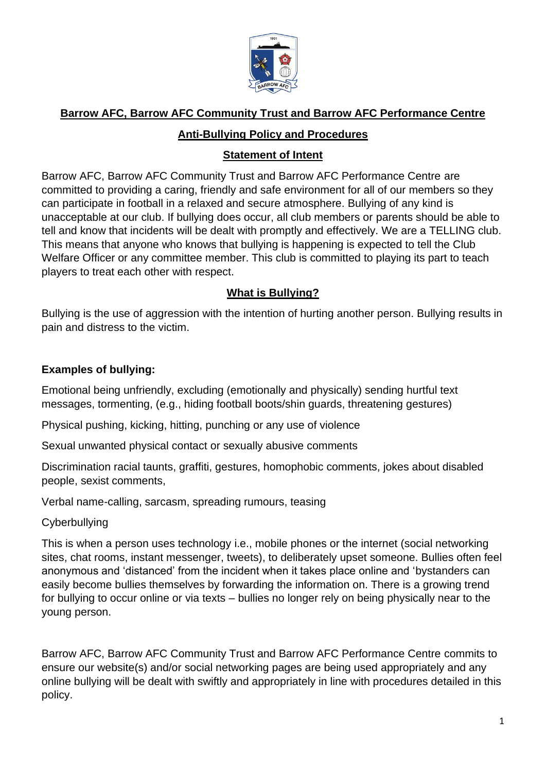

## **Barrow AFC, Barrow AFC Community Trust and Barrow AFC Performance Centre**

#### **Anti-Bullying Policy and Procedures**

## **Statement of Intent**

Barrow AFC, Barrow AFC Community Trust and Barrow AFC Performance Centre are committed to providing a caring, friendly and safe environment for all of our members so they can participate in football in a relaxed and secure atmosphere. Bullying of any kind is unacceptable at our club. If bullying does occur, all club members or parents should be able to tell and know that incidents will be dealt with promptly and effectively. We are a TELLING club. This means that anyone who knows that bullying is happening is expected to tell the Club Welfare Officer or any committee member. This club is committed to playing its part to teach players to treat each other with respect.

# **What is Bullying?**

Bullying is the use of aggression with the intention of hurting another person. Bullying results in pain and distress to the victim.

## **Examples of bullying:**

Emotional being unfriendly, excluding (emotionally and physically) sending hurtful text messages, tormenting, (e.g., hiding football boots/shin guards, threatening gestures)

Physical pushing, kicking, hitting, punching or any use of violence

Sexual unwanted physical contact or sexually abusive comments

Discrimination racial taunts, graffiti, gestures, homophobic comments, jokes about disabled people, sexist comments,

Verbal name-calling, sarcasm, spreading rumours, teasing

**Cyberbullying** 

This is when a person uses technology i.e., mobile phones or the internet (social networking sites, chat rooms, instant messenger, tweets), to deliberately upset someone. Bullies often feel anonymous and 'distanced' from the incident when it takes place online and 'bystanders can easily become bullies themselves by forwarding the information on. There is a growing trend for bullying to occur online or via texts – bullies no longer rely on being physically near to the young person.

Barrow AFC, Barrow AFC Community Trust and Barrow AFC Performance Centre commits to ensure our website(s) and/or social networking pages are being used appropriately and any online bullying will be dealt with swiftly and appropriately in line with procedures detailed in this policy.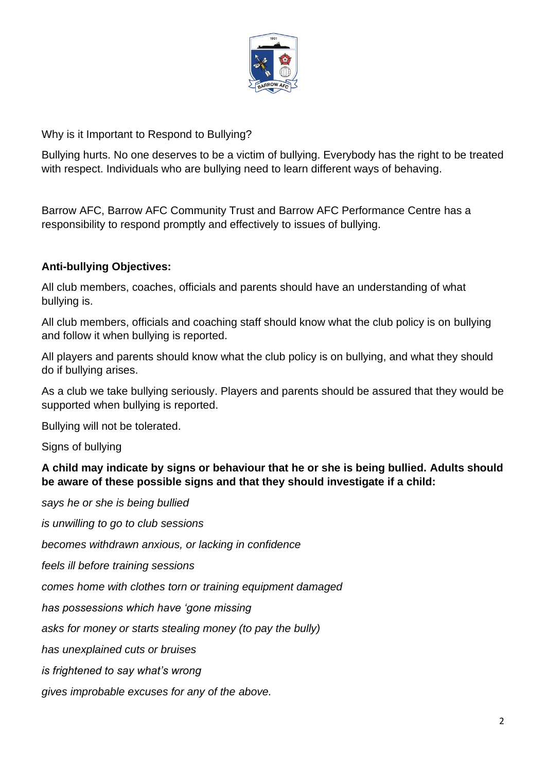

Why is it Important to Respond to Bullying?

Bullying hurts. No one deserves to be a victim of bullying. Everybody has the right to be treated with respect. Individuals who are bullying need to learn different ways of behaving.

Barrow AFC, Barrow AFC Community Trust and Barrow AFC Performance Centre has a responsibility to respond promptly and effectively to issues of bullying.

### **Anti-bullying Objectives:**

All club members, coaches, officials and parents should have an understanding of what bullying is.

All club members, officials and coaching staff should know what the club policy is on bullying and follow it when bullying is reported.

All players and parents should know what the club policy is on bullying, and what they should do if bullying arises.

As a club we take bullying seriously. Players and parents should be assured that they would be supported when bullying is reported.

Bullying will not be tolerated.

Signs of bullying

**A child may indicate by signs or behaviour that he or she is being bullied. Adults should be aware of these possible signs and that they should investigate if a child:**

*says he or she is being bullied*

*is unwilling to go to club sessions*

*becomes withdrawn anxious, or lacking in confidence*

*feels ill before training sessions*

*comes home with clothes torn or training equipment damaged*

*has possessions which have 'gone missing*

*asks for money or starts stealing money (to pay the bully)*

*has unexplained cuts or bruises*

*is frightened to say what's wrong*

*gives improbable excuses for any of the above.*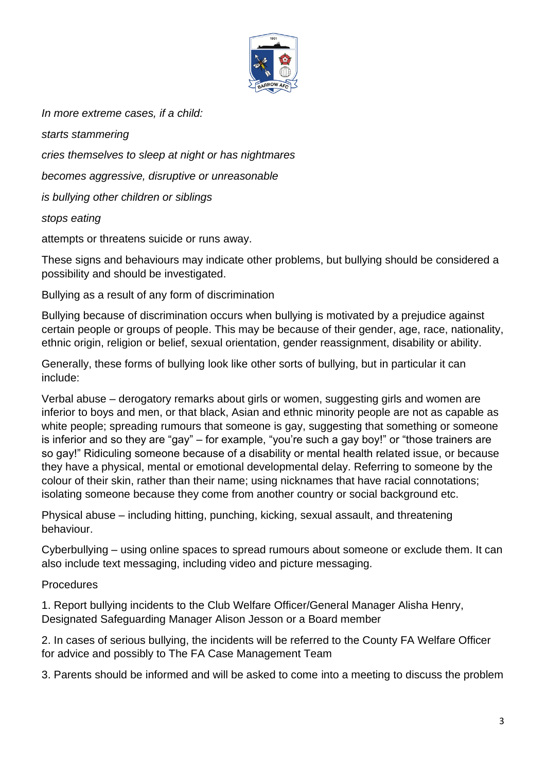

*In more extreme cases, if a child:*

*starts stammering cries themselves to sleep at night or has nightmares becomes aggressive, disruptive or unreasonable is bullying other children or siblings stops eating*

attempts or threatens suicide or runs away.

These signs and behaviours may indicate other problems, but bullying should be considered a possibility and should be investigated.

Bullying as a result of any form of discrimination

Bullying because of discrimination occurs when bullying is motivated by a prejudice against certain people or groups of people. This may be because of their gender, age, race, nationality, ethnic origin, religion or belief, sexual orientation, gender reassignment, disability or ability.

Generally, these forms of bullying look like other sorts of bullying, but in particular it can include:

Verbal abuse – derogatory remarks about girls or women, suggesting girls and women are inferior to boys and men, or that black, Asian and ethnic minority people are not as capable as white people; spreading rumours that someone is gay, suggesting that something or someone is inferior and so they are "gay" – for example, "you're such a gay boy!" or "those trainers are so gay!" Ridiculing someone because of a disability or mental health related issue, or because they have a physical, mental or emotional developmental delay. Referring to someone by the colour of their skin, rather than their name; using nicknames that have racial connotations; isolating someone because they come from another country or social background etc.

Physical abuse – including hitting, punching, kicking, sexual assault, and threatening behaviour.

Cyberbullying – using online spaces to spread rumours about someone or exclude them. It can also include text messaging, including video and picture messaging.

Procedures

1. Report bullying incidents to the Club Welfare Officer/General Manager Alisha Henry, Designated Safeguarding Manager Alison Jesson or a Board member

2. In cases of serious bullying, the incidents will be referred to the County FA Welfare Officer for advice and possibly to The FA Case Management Team

3. Parents should be informed and will be asked to come into a meeting to discuss the problem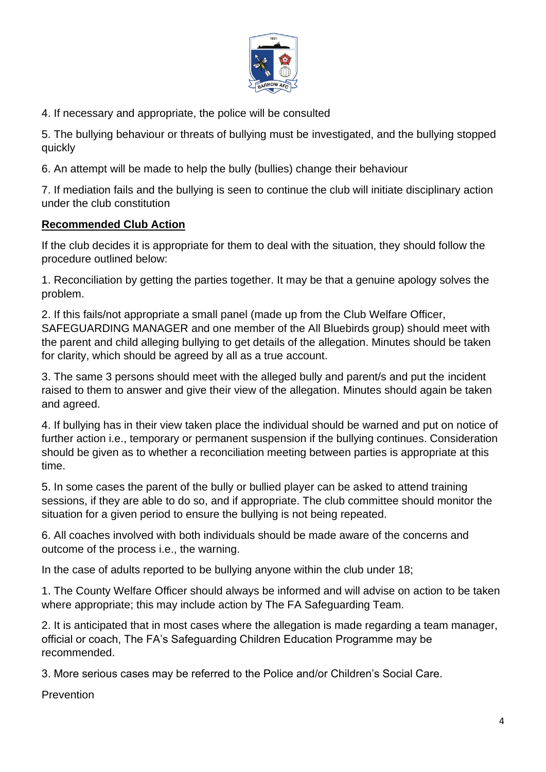

4. If necessary and appropriate, the police will be consulted

5. The bullying behaviour or threats of bullying must be investigated, and the bullying stopped quickly

6. An attempt will be made to help the bully (bullies) change their behaviour

7. If mediation fails and the bullying is seen to continue the club will initiate disciplinary action under the club constitution

### **Recommended Club Action**

If the club decides it is appropriate for them to deal with the situation, they should follow the procedure outlined below:

1. Reconciliation by getting the parties together. It may be that a genuine apology solves the problem.

2. If this fails/not appropriate a small panel (made up from the Club Welfare Officer, SAFEGUARDING MANAGER and one member of the All Bluebirds group) should meet with the parent and child alleging bullying to get details of the allegation. Minutes should be taken for clarity, which should be agreed by all as a true account.

3. The same 3 persons should meet with the alleged bully and parent/s and put the incident raised to them to answer and give their view of the allegation. Minutes should again be taken and agreed.

4. If bullying has in their view taken place the individual should be warned and put on notice of further action i.e., temporary or permanent suspension if the bullying continues. Consideration should be given as to whether a reconciliation meeting between parties is appropriate at this time.

5. In some cases the parent of the bully or bullied player can be asked to attend training sessions, if they are able to do so, and if appropriate. The club committee should monitor the situation for a given period to ensure the bullying is not being repeated.

6. All coaches involved with both individuals should be made aware of the concerns and outcome of the process i.e., the warning.

In the case of adults reported to be bullying anyone within the club under 18;

1. The County Welfare Officer should always be informed and will advise on action to be taken where appropriate; this may include action by The FA Safeguarding Team.

2. It is anticipated that in most cases where the allegation is made regarding a team manager, official or coach, The FA's Safeguarding Children Education Programme may be recommended.

3. More serious cases may be referred to the Police and/or Children's Social Care.

**Prevention**